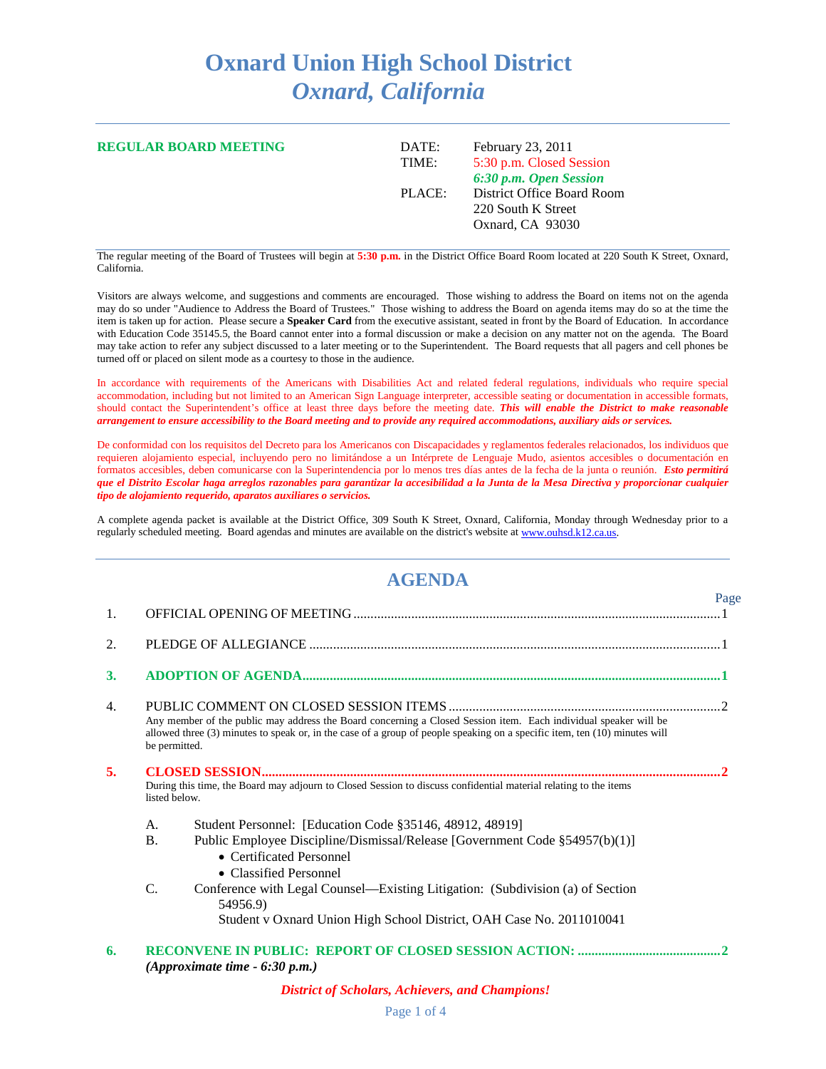## **Oxnard Union High School District** *Oxnard, California*

| <b>REGULAR BOARD MEETING</b> | February 23, 2011<br>DATE:<br>5:30 p.m. Closed Session<br>TIME:<br>6:30 p.m. Open Session |                            |
|------------------------------|-------------------------------------------------------------------------------------------|----------------------------|
|                              | PLACE:<br>220 South K Street<br>Oxnard, CA 93030                                          | District Office Board Room |

The regular meeting of the Board of Trustees will begin at **5:30 p.m.** in the District Office Board Room located at 220 South K Street, Oxnard, California.

Visitors are always welcome, and suggestions and comments are encouraged. Those wishing to address the Board on items not on the agenda may do so under "Audience to Address the Board of Trustees." Those wishing to address the Board on agenda items may do so at the time the item is taken up for action. Please secure a **Speaker Card** from the executive assistant, seated in front by the Board of Education. In accordance with Education Code 35145.5, the Board cannot enter into a formal discussion or make a decision on any matter not on the agenda. The Board may take action to refer any subject discussed to a later meeting or to the Superintendent. The Board requests that all pagers and cell phones be turned off or placed on silent mode as a courtesy to those in the audience.

In accordance with requirements of the Americans with Disabilities Act and related federal regulations, individuals who require special accommodation, including but not limited to an American Sign Language interpreter, accessible seating or documentation in accessible formats, should contact the Superintendent's office at least three days before the meeting date. *This will enable the District to make reasonable arrangement to ensure accessibility to the Board meeting and to provide any required accommodations, auxiliary aids or services.*

De conformidad con los requisitos del Decreto para los Americanos con Discapacidades y reglamentos federales relacionados, los individuos que requieren alojamiento especial, incluyendo pero no limitándose a un Intérprete de Lenguaje Mudo, asientos accesibles o documentación en formatos accesibles, deben comunicarse con la Superintendencia por lo menos tres días antes de la fecha de la junta o reunión. *Esto permitirá que el Distrito Escolar haga arreglos razonables para garantizar la accesibilidad a la Junta de la Mesa Directiva y proporcionar cualquier tipo de alojamiento requerido, aparatos auxiliares o servicios.*

A complete agenda packet is available at the District Office, 309 South K Street, Oxnard, California, Monday through Wednesday prior to a regularly scheduled meeting. Board agendas and minutes are available on the district's website a[t www.ouhsd.k12.ca.us.](http://www.ouhsd.k12.ca.us/)

## **AGENDA**

| 1.                                                                                                                                      |                 |                                                                                                                                                                                                                                                | Page |
|-----------------------------------------------------------------------------------------------------------------------------------------|-----------------|------------------------------------------------------------------------------------------------------------------------------------------------------------------------------------------------------------------------------------------------|------|
| 2.                                                                                                                                      |                 |                                                                                                                                                                                                                                                |      |
| <b>3.</b>                                                                                                                               |                 |                                                                                                                                                                                                                                                |      |
| 4.                                                                                                                                      | be permitted.   | Any member of the public may address the Board concerning a Closed Session item. Each individual speaker will be<br>allowed three (3) minutes to speak or, in the case of a group of people speaking on a specific item, ten (10) minutes will |      |
| 5.<br>During this time, the Board may adjourn to Closed Session to discuss confidential material relating to the items<br>listed below. |                 |                                                                                                                                                                                                                                                |      |
|                                                                                                                                         | A.<br><b>B.</b> | Student Personnel: [Education Code §35146, 48912, 48919]<br>Public Employee Discipline/Dismissal/Release [Government Code §54957(b)(1)]<br>• Certificated Personnel<br>• Classified Personnel                                                  |      |
|                                                                                                                                         | C.              | Conference with Legal Counsel—Existing Litigation: (Subdivision (a) of Section<br>54956.9)<br>Student v Oxnard Union High School District, OAH Case No. 2011010041                                                                             |      |
| 6.                                                                                                                                      |                 | (Approximate time $-6:30$ p.m.)                                                                                                                                                                                                                |      |

*District of Scholars, Achievers, and Champions!*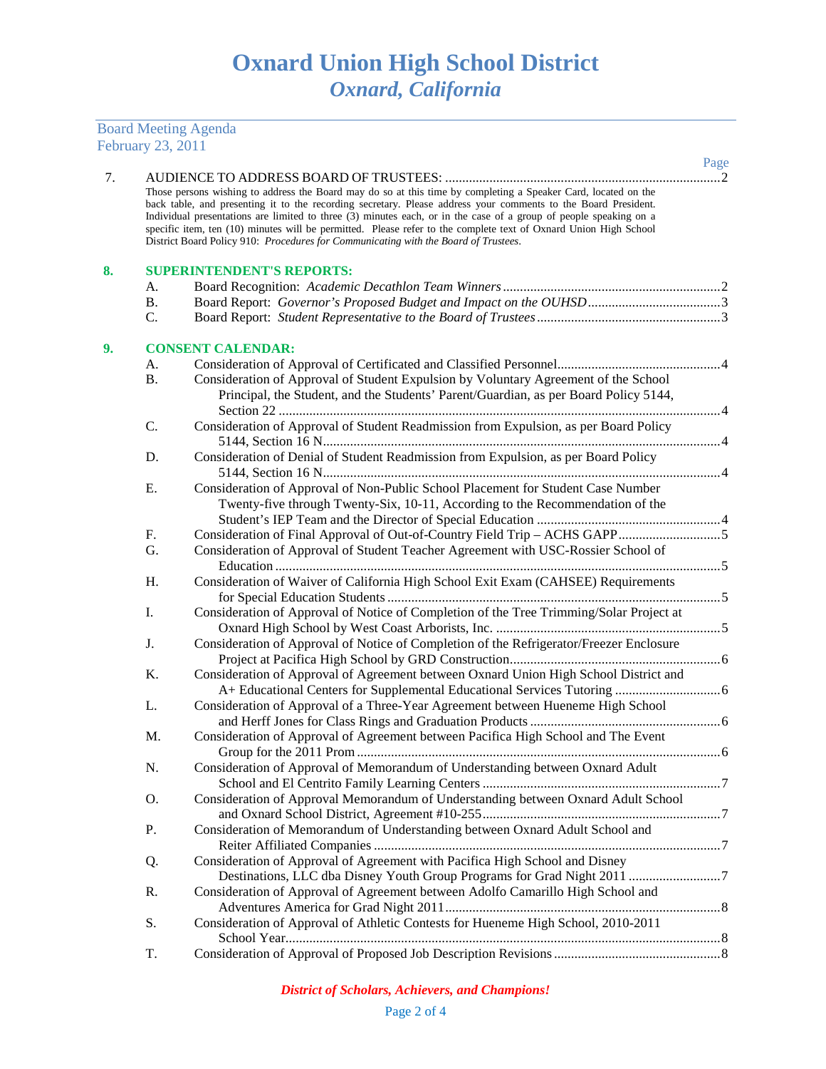Board Meeting Agenda February 23, 2011

| 7. |           |                                                                                                                                                                                                                                                                                                                                                                                                                                                                           | Page |
|----|-----------|---------------------------------------------------------------------------------------------------------------------------------------------------------------------------------------------------------------------------------------------------------------------------------------------------------------------------------------------------------------------------------------------------------------------------------------------------------------------------|------|
|    |           | Those persons wishing to address the Board may do so at this time by completing a Speaker Card, located on the<br>back table, and presenting it to the recording secretary. Please address your comments to the Board President.<br>Individual presentations are limited to three (3) minutes each, or in the case of a group of people speaking on a<br>specific item, ten (10) minutes will be permitted. Please refer to the complete text of Oxnard Union High School |      |
|    |           | District Board Policy 910: Procedures for Communicating with the Board of Trustees.                                                                                                                                                                                                                                                                                                                                                                                       |      |
| 8. |           | <b>SUPERINTENDENT'S REPORTS:</b>                                                                                                                                                                                                                                                                                                                                                                                                                                          |      |
|    | A.        |                                                                                                                                                                                                                                                                                                                                                                                                                                                                           |      |
|    | <b>B.</b> |                                                                                                                                                                                                                                                                                                                                                                                                                                                                           |      |
|    | $C$ .     |                                                                                                                                                                                                                                                                                                                                                                                                                                                                           |      |
| 9. |           | <b>CONSENT CALENDAR:</b>                                                                                                                                                                                                                                                                                                                                                                                                                                                  |      |
|    | А.        |                                                                                                                                                                                                                                                                                                                                                                                                                                                                           |      |
|    | <b>B.</b> | Consideration of Approval of Student Expulsion by Voluntary Agreement of the School<br>Principal, the Student, and the Students' Parent/Guardian, as per Board Policy 5144,                                                                                                                                                                                                                                                                                               |      |
|    | C.        | Consideration of Approval of Student Readmission from Expulsion, as per Board Policy                                                                                                                                                                                                                                                                                                                                                                                      |      |
|    |           |                                                                                                                                                                                                                                                                                                                                                                                                                                                                           |      |
|    | D.        | Consideration of Denial of Student Readmission from Expulsion, as per Board Policy                                                                                                                                                                                                                                                                                                                                                                                        |      |
|    |           |                                                                                                                                                                                                                                                                                                                                                                                                                                                                           |      |
|    | Е.        | Consideration of Approval of Non-Public School Placement for Student Case Number                                                                                                                                                                                                                                                                                                                                                                                          |      |
|    |           | Twenty-five through Twenty-Six, 10-11, According to the Recommendation of the                                                                                                                                                                                                                                                                                                                                                                                             |      |
|    |           |                                                                                                                                                                                                                                                                                                                                                                                                                                                                           |      |
|    | F.        |                                                                                                                                                                                                                                                                                                                                                                                                                                                                           |      |
|    | G.        | Consideration of Approval of Student Teacher Agreement with USC-Rossier School of                                                                                                                                                                                                                                                                                                                                                                                         |      |
|    | H.        | Consideration of Waiver of California High School Exit Exam (CAHSEE) Requirements                                                                                                                                                                                                                                                                                                                                                                                         |      |
|    |           |                                                                                                                                                                                                                                                                                                                                                                                                                                                                           |      |
|    | I.        | Consideration of Approval of Notice of Completion of the Tree Trimming/Solar Project at                                                                                                                                                                                                                                                                                                                                                                                   |      |
|    |           |                                                                                                                                                                                                                                                                                                                                                                                                                                                                           |      |
|    | J.        | Consideration of Approval of Notice of Completion of the Refrigerator/Freezer Enclosure                                                                                                                                                                                                                                                                                                                                                                                   |      |
|    |           |                                                                                                                                                                                                                                                                                                                                                                                                                                                                           |      |
|    | K.        | Consideration of Approval of Agreement between Oxnard Union High School District and                                                                                                                                                                                                                                                                                                                                                                                      |      |
|    |           |                                                                                                                                                                                                                                                                                                                                                                                                                                                                           |      |
|    | L.        | Consideration of Approval of a Three-Year Agreement between Hueneme High School                                                                                                                                                                                                                                                                                                                                                                                           |      |
|    |           |                                                                                                                                                                                                                                                                                                                                                                                                                                                                           |      |
|    | M.        | Consideration of Approval of Agreement between Pacifica High School and The Event                                                                                                                                                                                                                                                                                                                                                                                         |      |
|    | N.        |                                                                                                                                                                                                                                                                                                                                                                                                                                                                           |      |
|    |           | Consideration of Approval of Memorandum of Understanding between Oxnard Adult                                                                                                                                                                                                                                                                                                                                                                                             |      |
|    | O.        | Consideration of Approval Memorandum of Understanding between Oxnard Adult School                                                                                                                                                                                                                                                                                                                                                                                         |      |
|    |           |                                                                                                                                                                                                                                                                                                                                                                                                                                                                           |      |
|    | P.        | Consideration of Memorandum of Understanding between Oxnard Adult School and                                                                                                                                                                                                                                                                                                                                                                                              |      |
|    |           |                                                                                                                                                                                                                                                                                                                                                                                                                                                                           |      |
|    | Q.        | Consideration of Approval of Agreement with Pacifica High School and Disney                                                                                                                                                                                                                                                                                                                                                                                               |      |
|    |           |                                                                                                                                                                                                                                                                                                                                                                                                                                                                           |      |
|    | R.        | Consideration of Approval of Agreement between Adolfo Camarillo High School and                                                                                                                                                                                                                                                                                                                                                                                           |      |
|    |           |                                                                                                                                                                                                                                                                                                                                                                                                                                                                           |      |
|    | S.        | Consideration of Approval of Athletic Contests for Hueneme High School, 2010-2011                                                                                                                                                                                                                                                                                                                                                                                         |      |
|    |           |                                                                                                                                                                                                                                                                                                                                                                                                                                                                           |      |
|    | T.        |                                                                                                                                                                                                                                                                                                                                                                                                                                                                           |      |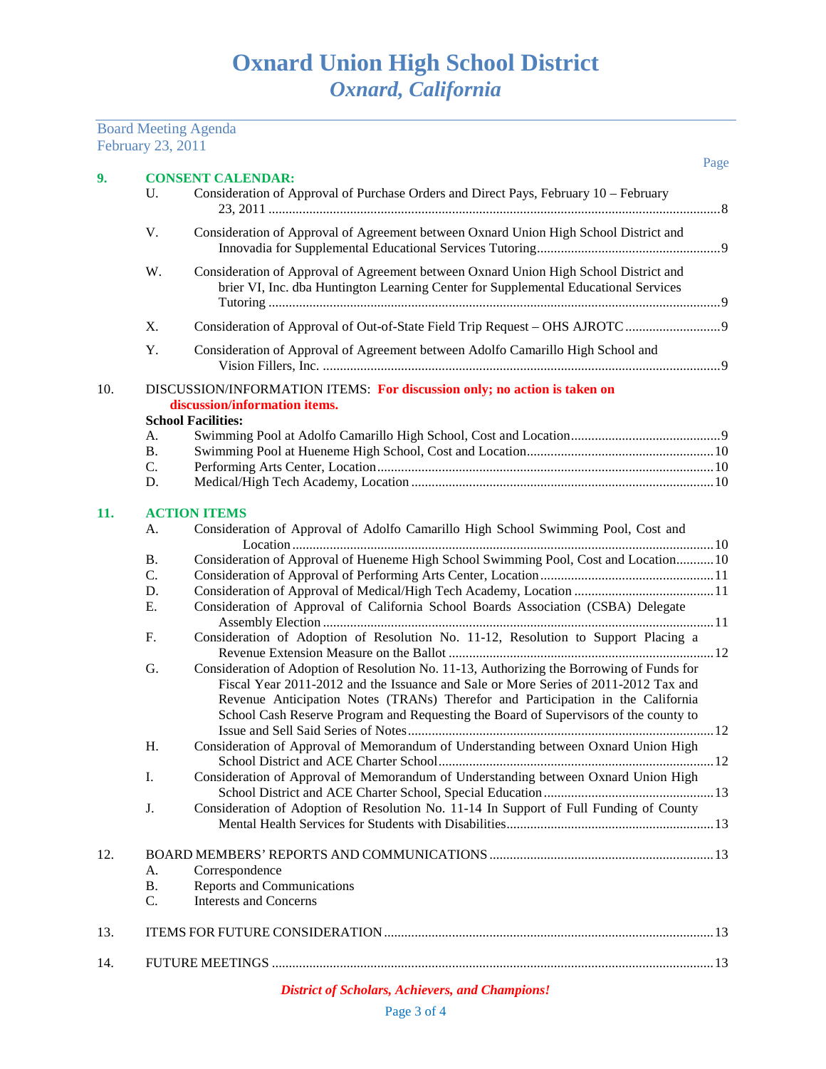Board Meeting Agenda

|     | February 23, 2011 |                                                                                                                                                                                                                                                                                                                                                             |      |
|-----|-------------------|-------------------------------------------------------------------------------------------------------------------------------------------------------------------------------------------------------------------------------------------------------------------------------------------------------------------------------------------------------------|------|
| 9.  |                   | <b>CONSENT CALENDAR:</b>                                                                                                                                                                                                                                                                                                                                    | Page |
|     | U.                | Consideration of Approval of Purchase Orders and Direct Pays, February 10 – February                                                                                                                                                                                                                                                                        |      |
|     | V.                | Consideration of Approval of Agreement between Oxnard Union High School District and                                                                                                                                                                                                                                                                        |      |
|     | W.                | Consideration of Approval of Agreement between Oxnard Union High School District and<br>brier VI, Inc. dba Huntington Learning Center for Supplemental Educational Services                                                                                                                                                                                 |      |
|     | X.                |                                                                                                                                                                                                                                                                                                                                                             |      |
|     | Y.                | Consideration of Approval of Agreement between Adolfo Camarillo High School and                                                                                                                                                                                                                                                                             |      |
| 10. |                   | DISCUSSION/INFORMATION ITEMS: For discussion only; no action is taken on<br>discussion/information items.<br><b>School Facilities:</b>                                                                                                                                                                                                                      |      |
|     | А.                |                                                                                                                                                                                                                                                                                                                                                             |      |
|     | <b>B.</b>         |                                                                                                                                                                                                                                                                                                                                                             |      |
|     | C.<br>D.          |                                                                                                                                                                                                                                                                                                                                                             |      |
|     |                   |                                                                                                                                                                                                                                                                                                                                                             |      |
| 11. |                   | <b>ACTION ITEMS</b>                                                                                                                                                                                                                                                                                                                                         |      |
|     | А.                | Consideration of Approval of Adolfo Camarillo High School Swimming Pool, Cost and                                                                                                                                                                                                                                                                           |      |
|     | <b>B.</b>         | Consideration of Approval of Hueneme High School Swimming Pool, Cost and Location 10                                                                                                                                                                                                                                                                        |      |
|     | C.                |                                                                                                                                                                                                                                                                                                                                                             |      |
|     | D.                |                                                                                                                                                                                                                                                                                                                                                             |      |
|     | Ε.                | Consideration of Approval of California School Boards Association (CSBA) Delegate                                                                                                                                                                                                                                                                           |      |
|     | F.                | Consideration of Adoption of Resolution No. 11-12, Resolution to Support Placing a                                                                                                                                                                                                                                                                          |      |
|     | G.                | Consideration of Adoption of Resolution No. 11-13, Authorizing the Borrowing of Funds for<br>Fiscal Year 2011-2012 and the Issuance and Sale or More Series of 2011-2012 Tax and<br>Revenue Anticipation Notes (TRANs) Therefor and Participation in the California<br>School Cash Reserve Program and Requesting the Board of Supervisors of the county to |      |
|     | Η.                | Consideration of Approval of Memorandum of Understanding between Oxnard Union High                                                                                                                                                                                                                                                                          |      |
|     | I.                | Consideration of Approval of Memorandum of Understanding between Oxnard Union High                                                                                                                                                                                                                                                                          |      |
|     | J.                | Consideration of Adoption of Resolution No. 11-14 In Support of Full Funding of County                                                                                                                                                                                                                                                                      |      |
| 12. |                   |                                                                                                                                                                                                                                                                                                                                                             |      |
|     | А.                | Correspondence                                                                                                                                                                                                                                                                                                                                              |      |
|     | <b>B.</b>         | <b>Reports and Communications</b>                                                                                                                                                                                                                                                                                                                           |      |
|     | C.                | <b>Interests and Concerns</b>                                                                                                                                                                                                                                                                                                                               |      |
| 13. |                   |                                                                                                                                                                                                                                                                                                                                                             |      |
| 14. |                   |                                                                                                                                                                                                                                                                                                                                                             |      |

## *District of Scholars, Achievers, and Champions!*